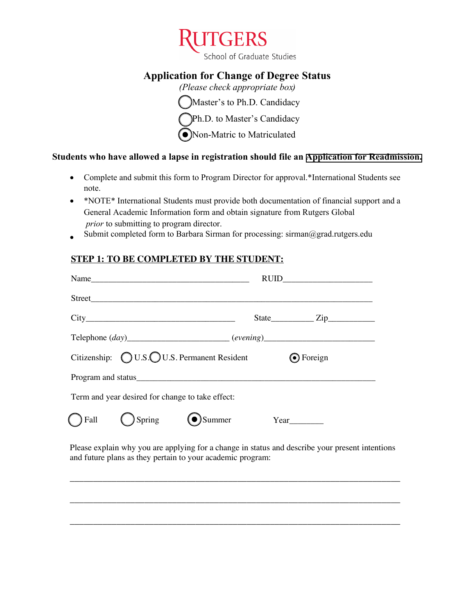

School of Graduate Studies

# **Application for Change of Degree Status**

*(Please check appropriate box)* Master's to Ph.D. Candidacy Ph.D. to Master's Candidacy  $\bigcirc$  Non-Matric to Matriculated

## **Students who have allowed a lapse in registration should file an [Application for Readmission.](https://gsnb.rutgers.edu/application-readmission)**

- Complete and submit this form to Program Director for approval.\*International Students see note.
- \*NOTE\* International Students must provide both documentation of financial support and a General Academic Information form and obtain signature from Rutgers Global *prior* to submitting to program director.
- Submit completed form to Barbara Sirman for processing: sirman@grad.rutgers.edu

### **STEP 1: TO BE COMPLETED BY THE STUDENT:**

| Name                                                                                       |  |                  |
|--------------------------------------------------------------------------------------------|--|------------------|
|                                                                                            |  |                  |
|                                                                                            |  | $State$ $Zip$    |
| Telephone (day)_________________________(evening)_______________________________           |  |                  |
| Citizenship: $\bigcirc$ U.S. QU.S. Permanent Resident                                      |  | <b>⊙</b> Foreign |
|                                                                                            |  |                  |
| Term and year desired for change to take effect:                                           |  |                  |
| $\bigcap$ Fall $\bigcirc$ Spring $\bigcirc$ Summer Year                                    |  |                  |
| Please explain why you are applying for a change in status and describe your present inten |  |                  |

Please explain why you are applying for a change in status and describe your present intentions and future plans as they pertain to your academic program:

\_\_\_\_\_\_\_\_\_\_\_\_\_\_\_\_\_\_\_\_\_\_\_\_\_\_\_\_\_\_\_\_\_\_\_\_\_\_\_\_\_\_\_\_\_\_\_\_\_\_\_\_\_\_\_\_\_\_\_\_\_\_\_\_\_\_\_\_\_\_\_

\_\_\_\_\_\_\_\_\_\_\_\_\_\_\_\_\_\_\_\_\_\_\_\_\_\_\_\_\_\_\_\_\_\_\_\_\_\_\_\_\_\_\_\_\_\_\_\_\_\_\_\_\_\_\_\_\_\_\_\_\_\_\_\_\_\_\_\_\_\_\_

\_\_\_\_\_\_\_\_\_\_\_\_\_\_\_\_\_\_\_\_\_\_\_\_\_\_\_\_\_\_\_\_\_\_\_\_\_\_\_\_\_\_\_\_\_\_\_\_\_\_\_\_\_\_\_\_\_\_\_\_\_\_\_\_\_\_\_\_\_\_\_